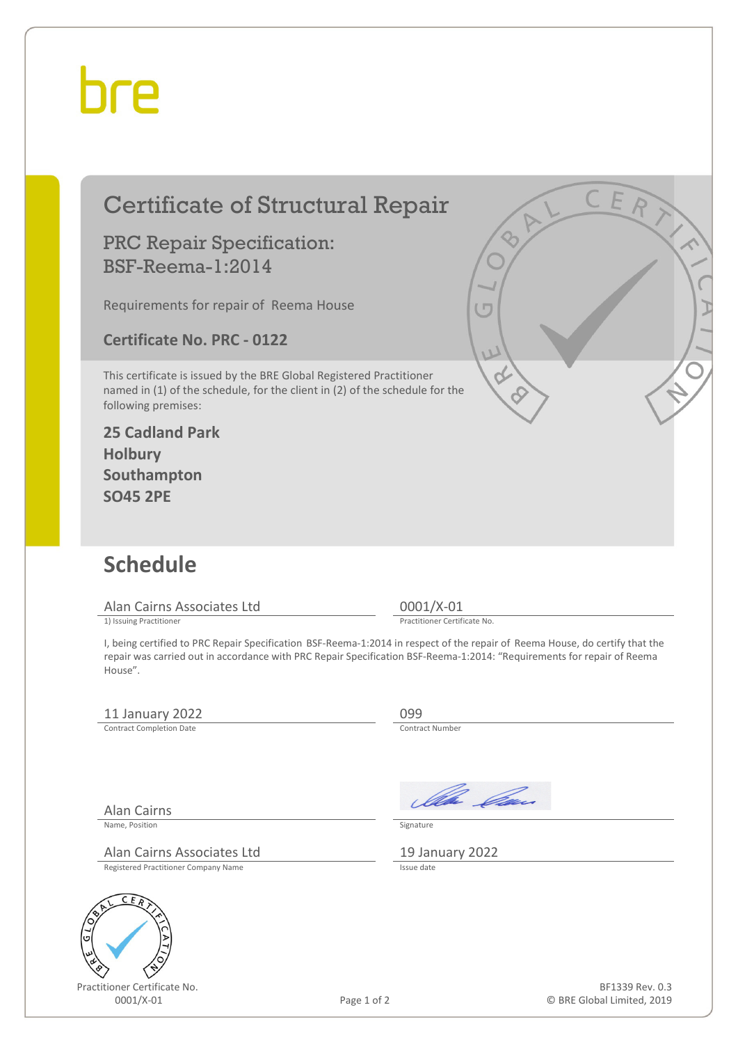## bre

| <b>Certificate of Structural Repair</b><br><b>PRC Repair Specification:</b><br><b>BSF-Reema-1:2014</b><br>Requirements for repair of Reema House<br><b>Certificate No. PRC - 0122</b><br>This certificate is issued by the BRE Global Registered Practitioner<br>named in (1) of the schedule, for the client in (2) of the schedule for the<br>following premises:<br><b>25 Cadland Park</b><br><b>Holbury</b> |                                             | C E R<br>( m<br>$\iota$                       |
|-----------------------------------------------------------------------------------------------------------------------------------------------------------------------------------------------------------------------------------------------------------------------------------------------------------------------------------------------------------------------------------------------------------------|---------------------------------------------|-----------------------------------------------|
| Southampton<br><b>SO45 2PE</b>                                                                                                                                                                                                                                                                                                                                                                                  |                                             |                                               |
|                                                                                                                                                                                                                                                                                                                                                                                                                 |                                             |                                               |
|                                                                                                                                                                                                                                                                                                                                                                                                                 |                                             |                                               |
| <b>Schedule</b>                                                                                                                                                                                                                                                                                                                                                                                                 |                                             |                                               |
| Alan Cairns Associates Ltd<br>1) Issuing Practitioner                                                                                                                                                                                                                                                                                                                                                           | $0001/X-01$<br>Practitioner Certificate No. |                                               |
| I, being certified to PRC Repair Specification BSF-Reema-1:2014 in respect of the repair of Reema House, do certify that the<br>repair was carried out in accordance with PRC Repair Specification BSF-Reema-1:2014: "Requirements for repair of Reema<br>House".                                                                                                                                               |                                             |                                               |
| 11 January 2022                                                                                                                                                                                                                                                                                                                                                                                                 | 099                                         |                                               |
| <b>Contract Completion Date</b>                                                                                                                                                                                                                                                                                                                                                                                 | Contract Number                             |                                               |
| <b>Alan Cairns</b><br>Name, Position<br>Alan Cairns Associates Ltd                                                                                                                                                                                                                                                                                                                                              | Signature<br>19 January 2022                | Illa <i>Ca</i> n                              |
| Registered Practitioner Company Name                                                                                                                                                                                                                                                                                                                                                                            | Issue date                                  |                                               |
| CER<br>U                                                                                                                                                                                                                                                                                                                                                                                                        |                                             |                                               |
| Practitioner Certificate No.<br>0001/X-01                                                                                                                                                                                                                                                                                                                                                                       | Page 1 of 2                                 | BF1339 Rev. 0.3<br>© BRE Global Limited, 2019 |